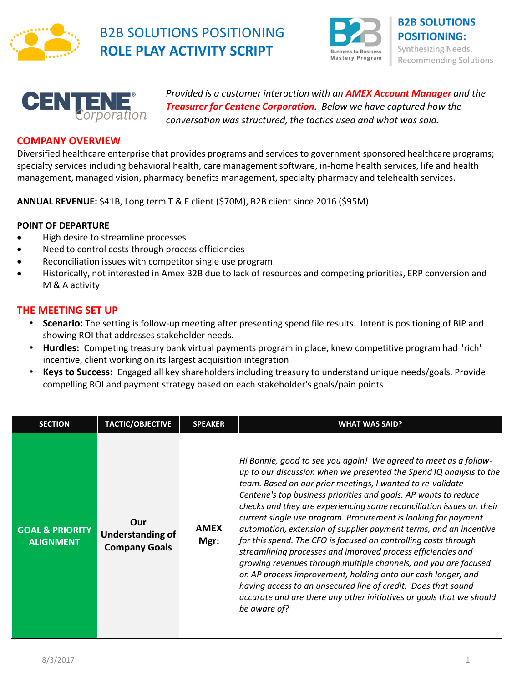

## B2B SOLUTIONS POSITIONING **ROLE PLAY ACTIVITY SCRIPT**





*Provided is a customer interaction with an AMEX Account Manager and the Treasurer for Centene Corporation. Below we have captured how the conversation was structured, the tactics used and what was said.*

## **COMPANY OVERVIEW**

Diversified healthcare enterprise that provides programs and services to government sponsored healthcare programs; specialty services including behavioral health, care management software, in-home health services, life and health management, managed vision, pharmacy benefits management, specialty pharmacy and telehealth services.

**ANNUAL REVENUE:** \$41B, Long term T & E client (\$70M), B2B client since 2016 (\$95M)

## **POINT OF DEPARTURE**

- High desire to streamline processes
- Need to control costs through process efficiencies
- Reconciliation issues with competitor single use program
- Historically, not interested in Amex B2B due to lack of resources and competing priorities, ERP conversion and M & A activity

## **THE MEETING SET UP**

- **Scenario:** The setting is follow-up meeting after presenting spend file results. Intent is positioning of BIP and showing ROI that addresses stakeholder needs.
- **Hurdles:** Competing treasury bank virtual payments program in place, knew competitive program had "rich" incentive, client working on its largest acquisition integration
- **Keys to Success:** Engaged all key shareholders including treasury to understand unique needs/goals. Provide compelling ROI and payment strategy based on each stakeholder's goals/pain points

| <b>SECTION</b>                                 | <b>TACTIC/OBJECTIVE</b>                                | <b>SPEAKER</b>      | WHAT WAS SAID?                                                                                                                                                                                                                                                                                                                                                                                                                                                                                                                                                                                                                                                                                                                                                                                                                                                                                                         |
|------------------------------------------------|--------------------------------------------------------|---------------------|------------------------------------------------------------------------------------------------------------------------------------------------------------------------------------------------------------------------------------------------------------------------------------------------------------------------------------------------------------------------------------------------------------------------------------------------------------------------------------------------------------------------------------------------------------------------------------------------------------------------------------------------------------------------------------------------------------------------------------------------------------------------------------------------------------------------------------------------------------------------------------------------------------------------|
| <b>GOAL &amp; PRIORITY</b><br><b>ALIGNMENT</b> | Our<br><b>Understanding of</b><br><b>Company Goals</b> | <b>AMEX</b><br>Mgr: | Hi Bonnie, good to see you again! We agreed to meet as a follow-<br>up to our discussion when we presented the Spend IQ analysis to the<br>team. Based on our prior meetings, I wanted to re-validate<br>Centene's top business priorities and goals. AP wants to reduce<br>checks and they are experiencing some reconciliation issues on their<br>current single use program. Procurement is looking for payment<br>automation, extension of supplier payment terms, and an incentive<br>for this spend. The CFO is focused on controlling costs through<br>streamlining processes and improved process efficiencies and<br>growing revenues through multiple channels, and you are focused<br>on AP process improvement, holding onto our cash longer, and<br>having access to an unsecured line of credit. Does that sound<br>accurate and are there any other initiatives or goals that we should<br>be aware of? |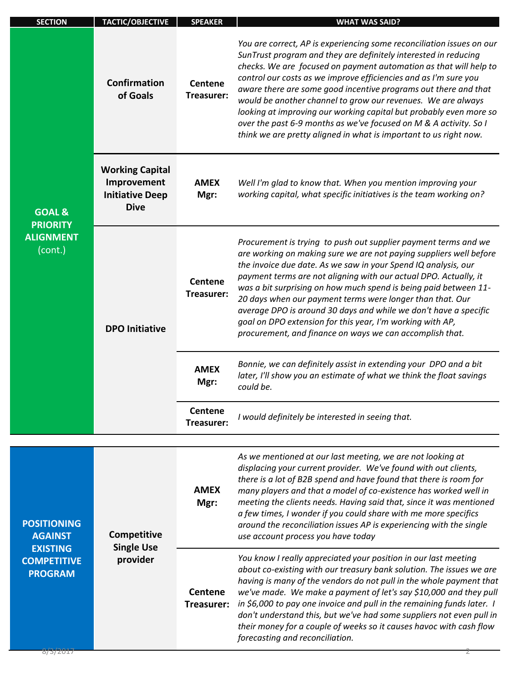| <b>SECTION</b>                                                                                  | TACTIC/OBJECTIVE                                                               | <b>SPEAKER</b>               | <b>WHAT WAS SAID?</b>                                                                                                                                                                                                                                                                                                                                                                                                                                                                                                                                                                                                                |
|-------------------------------------------------------------------------------------------------|--------------------------------------------------------------------------------|------------------------------|--------------------------------------------------------------------------------------------------------------------------------------------------------------------------------------------------------------------------------------------------------------------------------------------------------------------------------------------------------------------------------------------------------------------------------------------------------------------------------------------------------------------------------------------------------------------------------------------------------------------------------------|
| <b>GOAL &amp;</b><br><b>PRIORITY</b><br><b>ALIGNMENT</b><br>(cont.)                             | Confirmation<br>of Goals                                                       | <b>Centene</b><br>Treasurer: | You are correct, AP is experiencing some reconciliation issues on our<br>SunTrust program and they are definitely interested in reducing<br>checks. We are focused on payment automation as that will help to<br>control our costs as we improve efficiencies and as I'm sure you<br>aware there are some good incentive programs out there and that<br>would be another channel to grow our revenues. We are always<br>looking at improving our working capital but probably even more so<br>over the past 6-9 months as we've focused on M & A activity. So I<br>think we are pretty aligned in what is important to us right now. |
|                                                                                                 | <b>Working Capital</b><br>Improvement<br><b>Initiative Deep</b><br><b>Dive</b> | <b>AMEX</b><br>Mgr:          | Well I'm glad to know that. When you mention improving your<br>working capital, what specific initiatives is the team working on?                                                                                                                                                                                                                                                                                                                                                                                                                                                                                                    |
|                                                                                                 | <b>DPO Initiative</b>                                                          | <b>Centene</b><br>Treasurer: | Procurement is trying to push out supplier payment terms and we<br>are working on making sure we are not paying suppliers well before<br>the invoice due date. As we saw in your Spend IQ analysis, our<br>payment terms are not aligning with our actual DPO. Actually, it<br>was a bit surprising on how much spend is being paid between 11-<br>20 days when our payment terms were longer than that. Our<br>average DPO is around 30 days and while we don't have a specific<br>goal on DPO extension for this year, I'm working with AP,<br>procurement, and finance on ways we can accomplish that.                            |
|                                                                                                 |                                                                                | <b>AMEX</b><br>Mgr:          | Bonnie, we can definitely assist in extending your DPO and a bit<br>later, I'll show you an estimate of what we think the float savings<br>could be.                                                                                                                                                                                                                                                                                                                                                                                                                                                                                 |
|                                                                                                 |                                                                                | <b>Centene</b><br>Treasurer: | I would definitely be interested in seeing that.                                                                                                                                                                                                                                                                                                                                                                                                                                                                                                                                                                                     |
| <b>POSITIONING</b><br><b>AGAINST</b><br><b>EXISTING</b><br><b>COMPETITIVE</b><br><b>PROGRAM</b> | Competitive<br><b>Single Use</b><br>provider                                   | <b>AMEX</b><br>Mgr:          | As we mentioned at our last meeting, we are not looking at<br>displacing your current provider. We've found with out clients,<br>there is a lot of B2B spend and have found that there is room for<br>many players and that a model of co-existence has worked well in<br>meeting the clients needs. Having said that, since it was mentioned<br>a few times, I wonder if you could share with me more specifics<br>around the reconciliation issues AP is experiencing with the single<br>use account process you have today                                                                                                        |
|                                                                                                 |                                                                                | <b>Centene</b><br>Treasurer: | You know I really appreciated your position in our last meeting<br>about co-existing with our treasury bank solution. The issues we are<br>having is many of the vendors do not pull in the whole payment that<br>we've made. We make a payment of let's say \$10,000 and they pull<br>in \$6,000 to pay one invoice and pull in the remaining funds later. I<br>don't understand this, but we've had some suppliers not even pull in<br>their money for a couple of weeks so it causes havoc with cash flow<br>forecasting and reconciliation.                                                                                      |
| 8/3/2017                                                                                        |                                                                                |                              |                                                                                                                                                                                                                                                                                                                                                                                                                                                                                                                                                                                                                                      |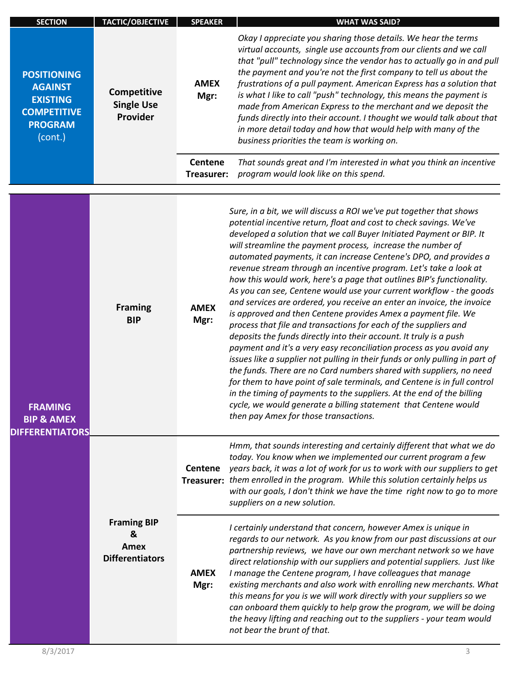| <b>SECTION</b>                                                                                             | <b>TACTIC/OBJECTIVE</b>                                                          | <b>SPEAKER</b>               | <b>WHAT WAS SAID?</b>                                                                                                                                                                                                                                                                                                                                                                                                                                                                                                                                                                                                                                                                                                                                                                                                                                                                                                                                                                                                                                                                                                                                                                                                                                                                                                                                           |
|------------------------------------------------------------------------------------------------------------|----------------------------------------------------------------------------------|------------------------------|-----------------------------------------------------------------------------------------------------------------------------------------------------------------------------------------------------------------------------------------------------------------------------------------------------------------------------------------------------------------------------------------------------------------------------------------------------------------------------------------------------------------------------------------------------------------------------------------------------------------------------------------------------------------------------------------------------------------------------------------------------------------------------------------------------------------------------------------------------------------------------------------------------------------------------------------------------------------------------------------------------------------------------------------------------------------------------------------------------------------------------------------------------------------------------------------------------------------------------------------------------------------------------------------------------------------------------------------------------------------|
| <b>POSITIONING</b><br><b>AGAINST</b><br><b>EXISTING</b><br><b>COMPETITIVE</b><br><b>PROGRAM</b><br>(cont.) | Competitive<br><b>Single Use</b><br>Provider                                     | <b>AMEX</b><br>Mgr:          | Okay I appreciate you sharing those details. We hear the terms<br>virtual accounts, single use accounts from our clients and we call<br>that "pull" technology since the vendor has to actually go in and pull<br>the payment and you're not the first company to tell us about the<br>frustrations of a pull payment. American Express has a solution that<br>is what I like to call "push" technology, this means the payment is<br>made from American Express to the merchant and we deposit the<br>funds directly into their account. I thought we would talk about that<br>in more detail today and how that would help with many of the<br>business priorities the team is working on.                                                                                                                                                                                                                                                                                                                                                                                                                                                                                                                                                                                                                                                                    |
|                                                                                                            |                                                                                  | <b>Centene</b><br>Treasurer: | That sounds great and I'm interested in what you think an incentive<br>program would look like on this spend.                                                                                                                                                                                                                                                                                                                                                                                                                                                                                                                                                                                                                                                                                                                                                                                                                                                                                                                                                                                                                                                                                                                                                                                                                                                   |
| <b>FRAMING</b><br><b>BIP &amp; AMEX</b><br><b>DIFFERENTIATORS</b>                                          | <b>Framing</b><br><b>BIP</b>                                                     | <b>AMEX</b><br>Mgr:          | Sure, in a bit, we will discuss a ROI we've put together that shows<br>potential incentive return, float and cost to check savings. We've<br>developed a solution that we call Buyer Initiated Payment or BIP. It<br>will streamline the payment process, increase the number of<br>automated payments, it can increase Centene's DPO, and provides a<br>revenue stream through an incentive program. Let's take a look at<br>how this would work, here's a page that outlines BIP's functionality.<br>As you can see, Centene would use your current workflow - the goods<br>and services are ordered, you receive an enter an invoice, the invoice<br>is approved and then Centene provides Amex a payment file. We<br>process that file and transactions for each of the suppliers and<br>deposits the funds directly into their account. It truly is a push<br>payment and it's a very easy reconciliation process as you avoid any<br>issues like a supplier not pulling in their funds or only pulling in part of<br>the funds. There are no Card numbers shared with suppliers, no need<br>for them to have point of sale terminals, and Centene is in full control<br>in the timing of payments to the suppliers. At the end of the billing<br>cycle, we would generate a billing statement that Centene would<br>then pay Amex for those transactions. |
|                                                                                                            | <b>Framing BIP</b><br>&<br>Amex<br><b>Differentiators</b><br><b>AMEX</b><br>Mgr: | <b>Centene</b>               | Hmm, that sounds interesting and certainly different that what we do<br>today. You know when we implemented our current program a few<br>years back, it was a lot of work for us to work with our suppliers to get<br>Treasurer: them enrolled in the program. While this solution certainly helps us<br>with our goals, I don't think we have the time right now to go to more<br>suppliers on a new solution.                                                                                                                                                                                                                                                                                                                                                                                                                                                                                                                                                                                                                                                                                                                                                                                                                                                                                                                                                 |
|                                                                                                            |                                                                                  |                              | I certainly understand that concern, however Amex is unique in<br>regards to our network. As you know from our past discussions at our<br>partnership reviews, we have our own merchant network so we have<br>direct relationship with our suppliers and potential suppliers. Just like<br>I manage the Centene program, I have colleagues that manage<br>existing merchants and also work with enrolling new merchants. What<br>this means for you is we will work directly with your suppliers so we<br>can onboard them quickly to help grow the program, we will be doing<br>the heavy lifting and reaching out to the suppliers - your team would<br>not bear the brunt of that.                                                                                                                                                                                                                                                                                                                                                                                                                                                                                                                                                                                                                                                                           |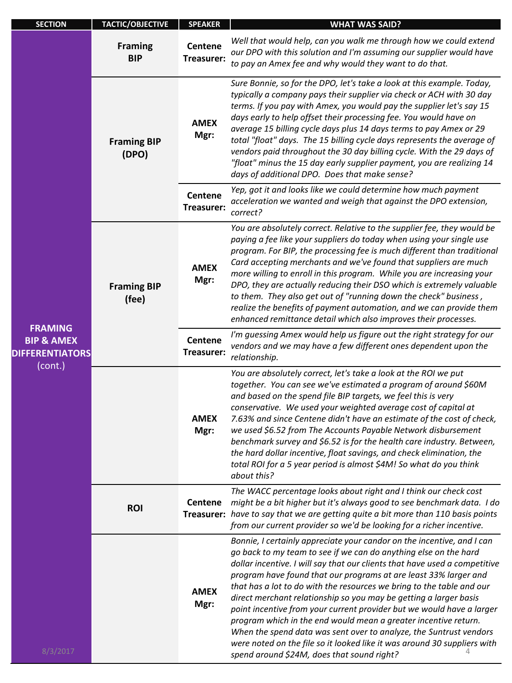| <b>SECTION</b>                                                                           | <b>TACTIC/OBJECTIVE</b>      | <b>SPEAKER</b>               | <b>WHAT WAS SAID?</b>                                                                                                                                                                                                                                                                                                                                                                                                                                                                                                                                                                                                                                                                                                                                                                  |
|------------------------------------------------------------------------------------------|------------------------------|------------------------------|----------------------------------------------------------------------------------------------------------------------------------------------------------------------------------------------------------------------------------------------------------------------------------------------------------------------------------------------------------------------------------------------------------------------------------------------------------------------------------------------------------------------------------------------------------------------------------------------------------------------------------------------------------------------------------------------------------------------------------------------------------------------------------------|
| <b>FRAMING</b><br><b>BIP &amp; AMEX</b><br><b>DIFFERENTIATORS</b><br>(cont.)<br>8/3/2017 | <b>Framing</b><br><b>BIP</b> | <b>Centene</b><br>Treasurer: | Well that would help, can you walk me through how we could extend<br>our DPO with this solution and I'm assuming our supplier would have<br>to pay an Amex fee and why would they want to do that.                                                                                                                                                                                                                                                                                                                                                                                                                                                                                                                                                                                     |
|                                                                                          | <b>Framing BIP</b><br>(DPO)  | <b>AMEX</b><br>Mgr:          | Sure Bonnie, so for the DPO, let's take a look at this example. Today,<br>typically a company pays their supplier via check or ACH with 30 day<br>terms. If you pay with Amex, you would pay the supplier let's say 15<br>days early to help offset their processing fee. You would have on<br>average 15 billing cycle days plus 14 days terms to pay Amex or 29<br>total "float" days. The 15 billing cycle days represents the average of<br>vendors paid throughout the 30 day billing cycle. With the 29 days of<br>"float" minus the 15 day early supplier payment, you are realizing 14<br>days of additional DPO. Does that make sense?                                                                                                                                        |
|                                                                                          |                              | <b>Centene</b><br>Treasurer: | Yep, got it and looks like we could determine how much payment<br>acceleration we wanted and weigh that against the DPO extension,<br>correct?                                                                                                                                                                                                                                                                                                                                                                                                                                                                                                                                                                                                                                         |
|                                                                                          | <b>Framing BIP</b><br>(fee)  | <b>AMEX</b><br>Mgr:          | You are absolutely correct. Relative to the supplier fee, they would be<br>paying a fee like your suppliers do today when using your single use<br>program. For BIP, the processing fee is much different than traditional<br>Card accepting merchants and we've found that suppliers are much<br>more willing to enroll in this program. While you are increasing your<br>DPO, they are actually reducing their DSO which is extremely valuable<br>to them. They also get out of "running down the check" business,<br>realize the benefits of payment automation, and we can provide them<br>enhanced remittance detail which also improves their processes.                                                                                                                         |
|                                                                                          |                              | <b>Centene</b><br>Treasurer: | I'm guessing Amex would help us figure out the right strategy for our<br>vendors and we may have a few different ones dependent upon the<br>relationship.                                                                                                                                                                                                                                                                                                                                                                                                                                                                                                                                                                                                                              |
|                                                                                          |                              | <b>AMEX</b><br>Mgr:          | You are absolutely correct, let's take a look at the ROI we put<br>together. You can see we've estimated a program of around \$60M<br>and based on the spend file BIP targets, we feel this is very<br>conservative. We used your weighted average cost of capital at<br>7.63% and since Centene didn't have an estimate of the cost of check,<br>we used \$6.52 from The Accounts Payable Network disbursement<br>benchmark survey and \$6.52 is for the health care industry. Between,<br>the hard dollar incentive, float savings, and check elimination, the<br>total ROI for a 5 year period is almost \$4M! So what do you think<br>about this?                                                                                                                                  |
|                                                                                          | <b>ROI</b>                   | <b>Centene</b>               | The WACC percentage looks about right and I think our check cost<br>might be a bit higher but it's always good to see benchmark data. I do<br>Treasurer: have to say that we are getting quite a bit more than 110 basis points<br>from our current provider so we'd be looking for a richer incentive.                                                                                                                                                                                                                                                                                                                                                                                                                                                                                |
|                                                                                          |                              | <b>AMEX</b><br>Mgr:          | Bonnie, I certainly appreciate your candor on the incentive, and I can<br>go back to my team to see if we can do anything else on the hard<br>dollar incentive. I will say that our clients that have used a competitive<br>program have found that our programs at are least 33% larger and<br>that has a lot to do with the resources we bring to the table and our<br>direct merchant relationship so you may be getting a larger basis<br>point incentive from your current provider but we would have a larger<br>program which in the end would mean a greater incentive return.<br>When the spend data was sent over to analyze, the Suntrust vendors<br>were noted on the file so it looked like it was around 30 suppliers with<br>spend around \$24M, does that sound right? |